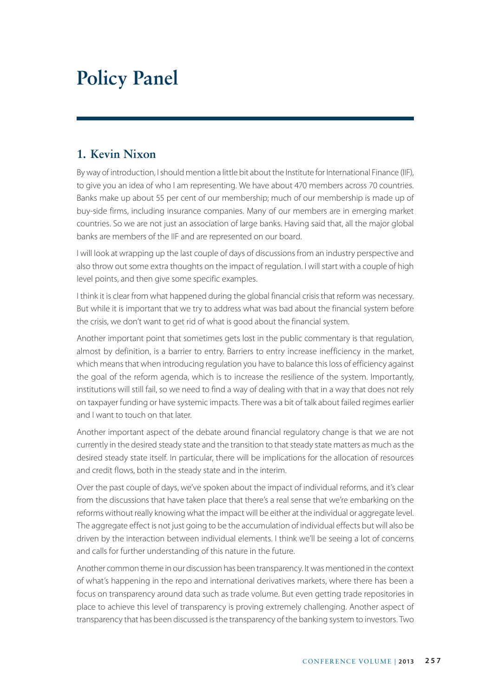# **Policy Panel**

## **1. Kevin Nixon**

By way of introduction, I should mention a little bit about the Institute for International Finance (IIF), to give you an idea of who I am representing. We have about 470 members across 70 countries. Banks make up about 55 per cent of our membership; much of our membership is made up of buy-side firms, including insurance companies. Many of our members are in emerging market countries. So we are not just an association of large banks. Having said that, all the major global banks are members of the IIF and are represented on our board.

I will look at wrapping up the last couple of days of discussions from an industry perspective and also throw out some extra thoughts on the impact of regulation. I will start with a couple of high level points, and then give some specific examples.

I think it is clear from what happened during the global financial crisis that reform was necessary. But while it is important that we try to address what was bad about the financial system before the crisis, we don't want to get rid of what is good about the financial system.

Another important point that sometimes gets lost in the public commentary is that regulation, almost by definition, is a barrier to entry. Barriers to entry increase inefficiency in the market, which means that when introducing regulation you have to balance this loss of efficiency against the goal of the reform agenda, which is to increase the resilience of the system. Importantly, institutions will still fail, so we need to find a way of dealing with that in a way that does not rely on taxpayer funding or have systemic impacts. There was a bit of talk about failed regimes earlier and I want to touch on that later.

Another important aspect of the debate around financial regulatory change is that we are not currently in the desired steady state and the transition to that steady state matters as much as the desired steady state itself. In particular, there will be implications for the allocation of resources and credit flows, both in the steady state and in the interim.

Over the past couple of days, we've spoken about the impact of individual reforms, and it's clear from the discussions that have taken place that there's a real sense that we're embarking on the reforms without really knowing what the impact will be either at the individual or aggregate level. The aggregate effect is not just going to be the accumulation of individual effects but will also be driven by the interaction between individual elements. I think we'll be seeing a lot of concerns and calls for further understanding of this nature in the future.

Another common theme in our discussion has been transparency. It was mentioned in the context of what's happening in the repo and international derivatives markets, where there has been a focus on transparency around data such as trade volume. But even getting trade repositories in place to achieve this level of transparency is proving extremely challenging. Another aspect of transparency that has been discussed is the transparency of the banking system to investors. Two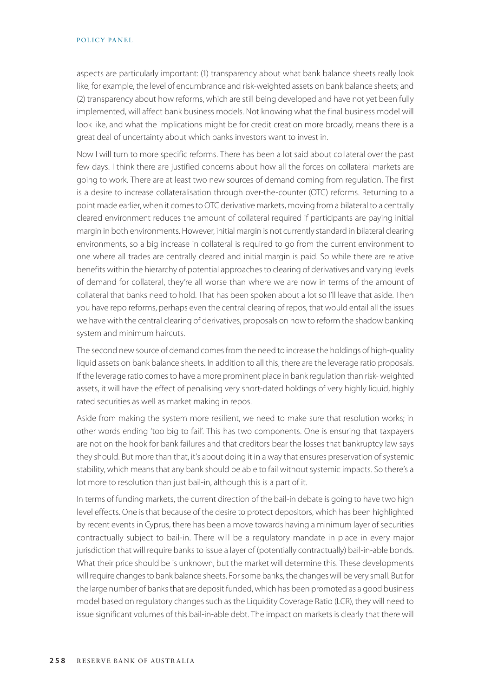aspects are particularly important: (1) transparency about what bank balance sheets really look like, for example, the level of encumbrance and risk-weighted assets on bank balance sheets; and (2) transparency about how reforms, which are still being developed and have not yet been fully implemented, will affect bank business models. Not knowing what the final business model will look like, and what the implications might be for credit creation more broadly, means there is a great deal of uncertainty about which banks investors want to invest in.

Now I will turn to more specific reforms. There has been a lot said about collateral over the past few days. I think there are justified concerns about how all the forces on collateral markets are going to work. There are at least two new sources of demand coming from regulation. The first is a desire to increase collateralisation through over-the-counter (OTC) reforms. Returning to a point made earlier, when it comes to OTC derivative markets, moving from a bilateral to a centrally cleared environment reduces the amount of collateral required if participants are paying initial margin in both environments. However, initial margin is not currently standard in bilateral clearing environments, so a big increase in collateral is required to go from the current environment to one where all trades are centrally cleared and initial margin is paid. So while there are relative benefits within the hierarchy of potential approaches to clearing of derivatives and varying levels of demand for collateral, they're all worse than where we are now in terms of the amount of collateral that banks need to hold. That has been spoken about a lot so I'll leave that aside. Then you have repo reforms, perhaps even the central clearing of repos, that would entail all the issues we have with the central clearing of derivatives, proposals on how to reform the shadow banking system and minimum haircuts.

The second new source of demand comes from the need to increase the holdings of high-quality liquid assets on bank balance sheets. In addition to all this, there are the leverage ratio proposals. If the leverage ratio comes to have a more prominent place in bank regulation than risk- weighted assets, it will have the effect of penalising very short-dated holdings of very highly liquid, highly rated securities as well as market making in repos.

Aside from making the system more resilient, we need to make sure that resolution works; in other words ending 'too big to fail'. This has two components. One is ensuring that taxpayers are not on the hook for bank failures and that creditors bear the losses that bankruptcy law says they should. But more than that, it's about doing it in a way that ensures preservation of systemic stability, which means that any bank should be able to fail without systemic impacts. So there's a lot more to resolution than just bail-in, although this is a part of it.

In terms of funding markets, the current direction of the bail-in debate is going to have two high level effects. One is that because of the desire to protect depositors, which has been highlighted by recent events in Cyprus, there has been a move towards having a minimum layer of securities contractually subject to bail-in. There will be a regulatory mandate in place in every major jurisdiction that will require banks to issue a layer of (potentially contractually) bail-in-able bonds. What their price should be is unknown, but the market will determine this. These developments will require changes to bank balance sheets. For some banks, the changes will be very small. But for the large number of banks that are deposit funded, which has been promoted as a good business model based on regulatory changes such as the Liquidity Coverage Ratio (LCR), they will need to issue significant volumes of this bail-in-able debt. The impact on markets is clearly that there will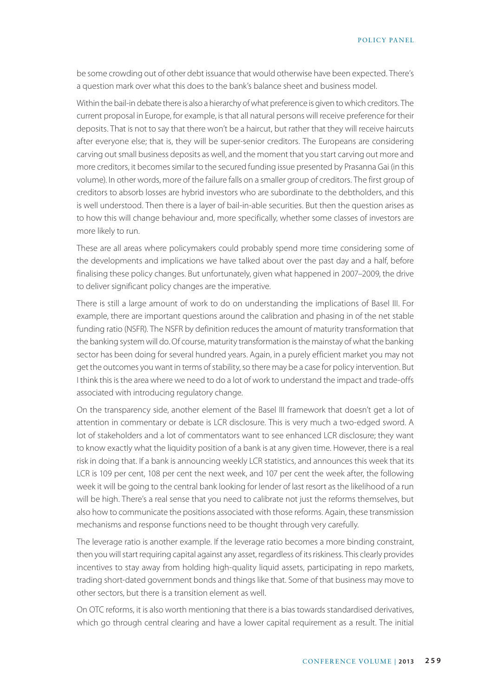POLICY PANEL

be some crowding out of other debt issuance that would otherwise have been expected. There's a question mark over what this does to the bank's balance sheet and business model.

Within the bail-in debate there is also a hierarchy of what preference is given to which creditors. The current proposal in Europe, for example, is that all natural persons will receive preference for their deposits. That is not to say that there won't be a haircut, but rather that they will receive haircuts after everyone else; that is, they will be super-senior creditors. The Europeans are considering carving out small business deposits as well, and the moment that you start carving out more and more creditors, it becomes similar to the secured funding issue presented by Prasanna Gai (in this volume). In other words, more of the failure falls on a smaller group of creditors. The first group of creditors to absorb losses are hybrid investors who are subordinate to the debtholders, and this is well understood. Then there is a layer of bail-in-able securities. But then the question arises as to how this will change behaviour and, more specifically, whether some classes of investors are more likely to run.

These are all areas where policymakers could probably spend more time considering some of the developments and implications we have talked about over the past day and a half, before finalising these policy changes. But unfortunately, given what happened in 2007–2009, the drive to deliver significant policy changes are the imperative.

There is still a large amount of work to do on understanding the implications of Basel III. For example, there are important questions around the calibration and phasing in of the net stable funding ratio (NSFR). The NSFR by definition reduces the amount of maturity transformation that the banking system will do. Of course, maturity transformation is the mainstay of what the banking sector has been doing for several hundred years. Again, in a purely efficient market you may not get the outcomes you want in terms of stability, so there may be a case for policy intervention. But I think this is the area where we need to do a lot of work to understand the impact and trade-offs associated with introducing regulatory change.

On the transparency side, another element of the Basel III framework that doesn't get a lot of attention in commentary or debate is LCR disclosure. This is very much a two-edged sword. A lot of stakeholders and a lot of commentators want to see enhanced LCR disclosure; they want to know exactly what the liquidity position of a bank is at any given time. However, there is a real risk in doing that. If a bank is announcing weekly LCR statistics, and announces this week that its LCR is 109 per cent, 108 per cent the next week, and 107 per cent the week after, the following week it will be going to the central bank looking for lender of last resort as the likelihood of a run will be high. There's a real sense that you need to calibrate not just the reforms themselves, but also how to communicate the positions associated with those reforms. Again, these transmission mechanisms and response functions need to be thought through very carefully.

The leverage ratio is another example. If the leverage ratio becomes a more binding constraint, then you will start requiring capital against any asset, regardless of its riskiness. This clearly provides incentives to stay away from holding high-quality liquid assets, participating in repo markets, trading short-dated government bonds and things like that. Some of that business may move to other sectors, but there is a transition element as well.

On OTC reforms, it is also worth mentioning that there is a bias towards standardised derivatives, which go through central clearing and have a lower capital requirement as a result. The initial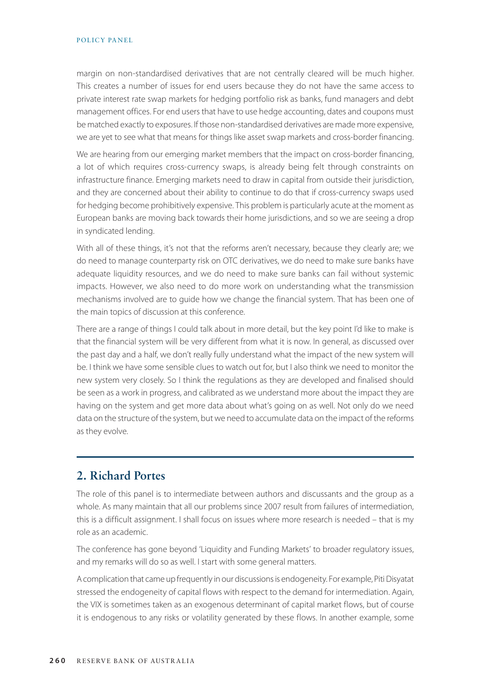margin on non-standardised derivatives that are not centrally cleared will be much higher. This creates a number of issues for end users because they do not have the same access to private interest rate swap markets for hedging portfolio risk as banks, fund managers and debt management offices. For end users that have to use hedge accounting, dates and coupons must be matched exactly to exposures. If those non-standardised derivatives are made more expensive, we are yet to see what that means for things like asset swap markets and cross-border financing.

We are hearing from our emerging market members that the impact on cross-border financing, a lot of which requires cross-currency swaps, is already being felt through constraints on infrastructure finance. Emerging markets need to draw in capital from outside their jurisdiction, and they are concerned about their ability to continue to do that if cross-currency swaps used for hedging become prohibitively expensive. This problem is particularly acute at the moment as European banks are moving back towards their home jurisdictions, and so we are seeing a drop in syndicated lending.

With all of these things, it's not that the reforms aren't necessary, because they clearly are; we do need to manage counterparty risk on OTC derivatives, we do need to make sure banks have adequate liquidity resources, and we do need to make sure banks can fail without systemic impacts. However, we also need to do more work on understanding what the transmission mechanisms involved are to guide how we change the financial system. That has been one of the main topics of discussion at this conference.

There are a range of things I could talk about in more detail, but the key point I'd like to make is that the financial system will be very different from what it is now. In general, as discussed over the past day and a half, we don't really fully understand what the impact of the new system will be. I think we have some sensible clues to watch out for, but I also think we need to monitor the new system very closely. So I think the regulations as they are developed and finalised should be seen as a work in progress, and calibrated as we understand more about the impact they are having on the system and get more data about what's going on as well. Not only do we need data on the structure of the system, but we need to accumulate data on the impact of the reforms as they evolve.

## **2. Richard Portes**

The role of this panel is to intermediate between authors and discussants and the group as a whole. As many maintain that all our problems since 2007 result from failures of intermediation, this is a difficult assignment. I shall focus on issues where more research is needed – that is my role as an academic.

The conference has gone beyond 'Liquidity and Funding Markets' to broader regulatory issues, and my remarks will do so as well. I start with some general matters.

A complication that came up frequently in our discussions is endogeneity. For example, Piti Disyatat stressed the endogeneity of capital flows with respect to the demand for intermediation. Again, the VIX is sometimes taken as an exogenous determinant of capital market flows, but of course it is endogenous to any risks or volatility generated by these flows. In another example, some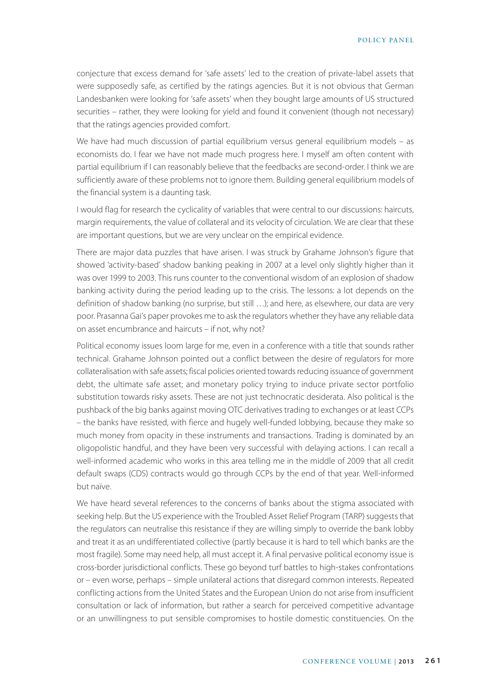conjecture that excess demand for 'safe assets' led to the creation of private-label assets that were supposedly safe, as certified by the ratings agencies. But it is not obvious that German Landesbanken were looking for 'safe assets' when they bought large amounts of US structured securities – rather, they were looking for yield and found it convenient (though not necessary) that the ratings agencies provided comfort.

We have had much discussion of partial equilibrium versus general equilibrium models – as economists do. I fear we have not made much progress here. I myself am often content with partial equilibrium if I can reasonably believe that the feedbacks are second-order. I think we are sufficiently aware of these problems not to ignore them. Building general equilibrium models of the financial system is a daunting task.

I would flag for research the cyclicality of variables that were central to our discussions: haircuts, margin requirements, the value of collateral and its velocity of circulation. We are clear that these are important questions, but we are very unclear on the empirical evidence.

There are major data puzzles that have arisen. I was struck by Grahame Johnson's figure that showed 'activity-based' shadow banking peaking in 2007 at a level only slightly higher than it was over 1999 to 2003. This runs counter to the conventional wisdom of an explosion of shadow banking activity during the period leading up to the crisis. The lessons: a lot depends on the definition of shadow banking (no surprise, but still …); and here, as elsewhere, our data are very poor. Prasanna Gai's paper provokes me to ask the regulators whether they have any reliable data on asset encumbrance and haircuts – if not, why not?

Political economy issues loom large for me, even in a conference with a title that sounds rather technical. Grahame Johnson pointed out a conflict between the desire of regulators for more collateralisation with safe assets; fiscal policies oriented towards reducing issuance of government debt, the ultimate safe asset; and monetary policy trying to induce private sector portfolio substitution towards risky assets. These are not just technocratic desiderata. Also political is the pushback of the big banks against moving OTC derivatives trading to exchanges or at least CCPs – the banks have resisted, with fierce and hugely well-funded lobbying, because they make so much money from opacity in these instruments and transactions. Trading is dominated by an oligopolistic handful, and they have been very successful with delaying actions. I can recall a well-informed academic who works in this area telling me in the middle of 2009 that all credit default swaps (CDS) contracts would go through CCPs by the end of that year. Well-informed but naïve.

We have heard several references to the concerns of banks about the stigma associated with seeking help. But the US experience with the Troubled Asset Relief Program (TARP) suggests that the regulators can neutralise this resistance if they are willing simply to override the bank lobby and treat it as an undifferentiated collective (partly because it is hard to tell which banks are the most fragile). Some may need help, all must accept it. A final pervasive political economy issue is cross-border jurisdictional conflicts. These go beyond turf battles to high-stakes confrontations or – even worse, perhaps – simple unilateral actions that disregard common interests. Repeated conflicting actions from the United States and the European Union do not arise from insufficient consultation or lack of information, but rather a search for perceived competitive advantage or an unwillingness to put sensible compromises to hostile domestic constituencies. On the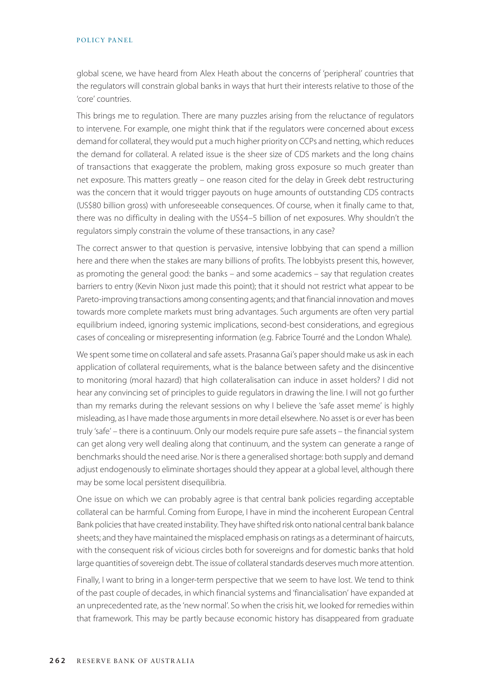#### POLICY PANEL

global scene, we have heard from Alex Heath about the concerns of 'peripheral' countries that the regulators will constrain global banks in ways that hurt their interests relative to those of the 'core' countries.

This brings me to regulation. There are many puzzles arising from the reluctance of regulators to intervene. For example, one might think that if the regulators were concerned about excess demand for collateral, they would put a much higher priority on CCPs and netting, which reduces the demand for collateral. A related issue is the sheer size of CDS markets and the long chains of transactions that exaggerate the problem, making gross exposure so much greater than net exposure. This matters greatly – one reason cited for the delay in Greek debt restructuring was the concern that it would trigger payouts on huge amounts of outstanding CDS contracts (US\$80 billion gross) with unforeseeable consequences. Of course, when it finally came to that, there was no difficulty in dealing with the US\$4–5 billion of net exposures. Why shouldn't the regulators simply constrain the volume of these transactions, in any case?

The correct answer to that question is pervasive, intensive lobbying that can spend a million here and there when the stakes are many billions of profits. The lobbyists present this, however, as promoting the general good: the banks – and some academics – say that regulation creates barriers to entry (Kevin Nixon just made this point); that it should not restrict what appear to be Pareto-improving transactions among consenting agents; and that financial innovation and moves towards more complete markets must bring advantages. Such arguments are often very partial equilibrium indeed, ignoring systemic implications, second-best considerations, and egregious cases of concealing or misrepresenting information (e.g. Fabrice Tourré and the London Whale).

We spent some time on collateral and safe assets. Prasanna Gai's paper should make us ask in each application of collateral requirements, what is the balance between safety and the disincentive to monitoring (moral hazard) that high collateralisation can induce in asset holders? I did not hear any convincing set of principles to guide regulators in drawing the line. I will not go further than my remarks during the relevant sessions on why I believe the 'safe asset meme' is highly misleading, as I have made those arguments in more detail elsewhere. No asset is or ever has been truly 'safe' – there is a continuum. Only our models require pure safe assets – the financial system can get along very well dealing along that continuum, and the system can generate a range of benchmarks should the need arise. Nor is there a generalised shortage: both supply and demand adjust endogenously to eliminate shortages should they appear at a global level, although there may be some local persistent disequilibria.

One issue on which we can probably agree is that central bank policies regarding acceptable collateral can be harmful. Coming from Europe, I have in mind the incoherent European Central Bank policies that have created instability. They have shifted risk onto national central bank balance sheets; and they have maintained the misplaced emphasis on ratings as a determinant of haircuts, with the consequent risk of vicious circles both for sovereigns and for domestic banks that hold large quantities of sovereign debt. The issue of collateral standards deserves much more attention.

Finally, I want to bring in a longer-term perspective that we seem to have lost. We tend to think of the past couple of decades, in which financial systems and 'financialisation' have expanded at an unprecedented rate, as the 'new normal'. So when the crisis hit, we looked for remedies within that framework. This may be partly because economic history has disappeared from graduate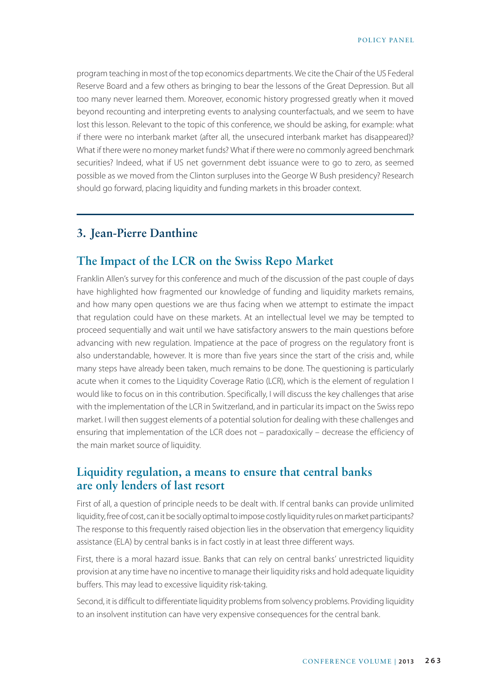program teaching in most of the top economics departments. We cite the Chair of the US Federal Reserve Board and a few others as bringing to bear the lessons of the Great Depression. But all too many never learned them. Moreover, economic history progressed greatly when it moved beyond recounting and interpreting events to analysing counterfactuals, and we seem to have lost this lesson. Relevant to the topic of this conference, we should be asking, for example: what if there were no interbank market (after all, the unsecured interbank market has disappeared)? What if there were no money market funds? What if there were no commonly agreed benchmark securities? Indeed, what if US net government debt issuance were to go to zero, as seemed possible as we moved from the Clinton surpluses into the George W Bush presidency? Research should go forward, placing liquidity and funding markets in this broader context.

## **3. Jean-Pierre Danthine**

#### **The Impact of the LCR on the Swiss Repo Market**

Franklin Allen's survey for this conference and much of the discussion of the past couple of days have highlighted how fragmented our knowledge of funding and liquidity markets remains, and how many open questions we are thus facing when we attempt to estimate the impact that regulation could have on these markets. At an intellectual level we may be tempted to proceed sequentially and wait until we have satisfactory answers to the main questions before advancing with new regulation. Impatience at the pace of progress on the regulatory front is also understandable, however. It is more than five years since the start of the crisis and, while many steps have already been taken, much remains to be done. The questioning is particularly acute when it comes to the Liquidity Coverage Ratio (LCR), which is the element of regulation I would like to focus on in this contribution. Specifically, I will discuss the key challenges that arise with the implementation of the LCR in Switzerland, and in particular its impact on the Swiss repo market. I will then suggest elements of a potential solution for dealing with these challenges and ensuring that implementation of the LCR does not – paradoxically – decrease the efficiency of the main market source of liquidity.

## **Liquidity regulation, a means to ensure that central banks are only lenders of last resort**

First of all, a question of principle needs to be dealt with. If central banks can provide unlimited liquidity, free of cost, can it be socially optimal to impose costly liquidity rules on market participants? The response to this frequently raised objection lies in the observation that emergency liquidity assistance (ELA) by central banks is in fact costly in at least three different ways.

First, there is a moral hazard issue. Banks that can rely on central banks' unrestricted liquidity provision at any time have no incentive to manage their liquidity risks and hold adequate liquidity buffers. This may lead to excessive liquidity risk-taking.

Second, it is difficult to differentiate liquidity problems from solvency problems. Providing liquidity to an insolvent institution can have very expensive consequences for the central bank.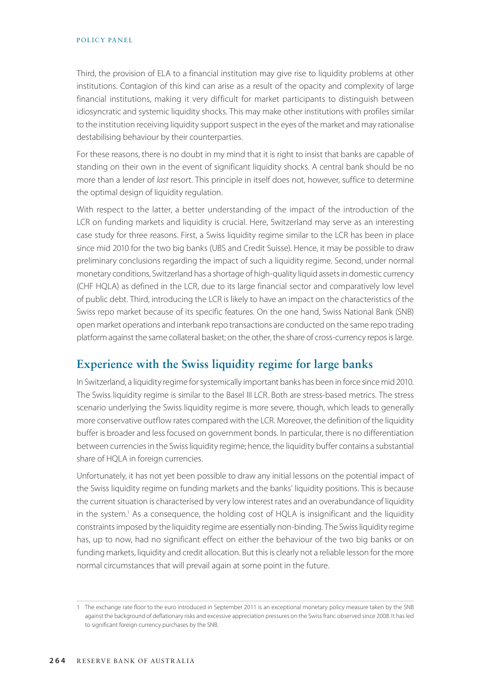Third, the provision of ELA to a financial institution may give rise to liquidity problems at other institutions. Contagion of this kind can arise as a result of the opacity and complexity of large financial institutions, making it very difficult for market participants to distinguish between idiosyncratic and systemic liquidity shocks. This may make other institutions with profiles similar to the institution receiving liquidity support suspect in the eyes of the market and may rationalise destabilising behaviour by their counterparties.

For these reasons, there is no doubt in my mind that it is right to insist that banks are capable of standing on their own in the event of significant liquidity shocks. A central bank should be no more than a lender of *last* resort. This principle in itself does not, however, suffice to determine the optimal design of liquidity regulation.

With respect to the latter, a better understanding of the impact of the introduction of the LCR on funding markets and liquidity is crucial. Here, Switzerland may serve as an interesting case study for three reasons. First, a Swiss liquidity regime similar to the LCR has been in place since mid 2010 for the two big banks (UBS and Credit Suisse). Hence, it may be possible to draw preliminary conclusions regarding the impact of such a liquidity regime. Second, under normal monetary conditions, Switzerland has a shortage of high-quality liquid assets in domestic currency (CHF HQLA) as defined in the LCR, due to its large financial sector and comparatively low level of public debt. Third, introducing the LCR is likely to have an impact on the characteristics of the Swiss repo market because of its specific features. On the one hand, Swiss National Bank (SNB) open market operations and interbank repo transactions are conducted on the same repo trading platform against the same collateral basket; on the other, the share of cross-currency repos is large.

### **Experience with the Swiss liquidity regime for large banks**

In Switzerland, a liquidity regime for systemically important banks has been in force since mid 2010. The Swiss liquidity regime is similar to the Basel III LCR. Both are stress-based metrics. The stress scenario underlying the Swiss liquidity regime is more severe, though, which leads to generally more conservative outflow rates compared with the LCR. Moreover, the definition of the liquidity buffer is broader and less focused on government bonds. In particular, there is no differentiation between currencies in the Swiss liquidity regime; hence, the liquidity buffer contains a substantial share of HQLA in foreign currencies.

Unfortunately, it has not yet been possible to draw any initial lessons on the potential impact of the Swiss liquidity regime on funding markets and the banks' liquidity positions. This is because the current situation is characterised by very low interest rates and an overabundance of liquidity in the system.<sup>1</sup> As a consequence, the holding cost of HQLA is insignificant and the liquidity constraints imposed by the liquidity regime are essentially non-binding. The Swiss liquidity regime has, up to now, had no significant effect on either the behaviour of the two big banks or on funding markets, liquidity and credit allocation. But this is clearly not a reliable lesson for the more normal circumstances that will prevail again at some point in the future.

<sup>1</sup> The exchange rate floor to the euro introduced in September 2011 is an exceptional monetary policy measure taken by the SNB against the background of deflationary risks and excessive appreciation pressures on the Swiss franc observed since 2008. It has led to significant foreign currency purchases by the SNB.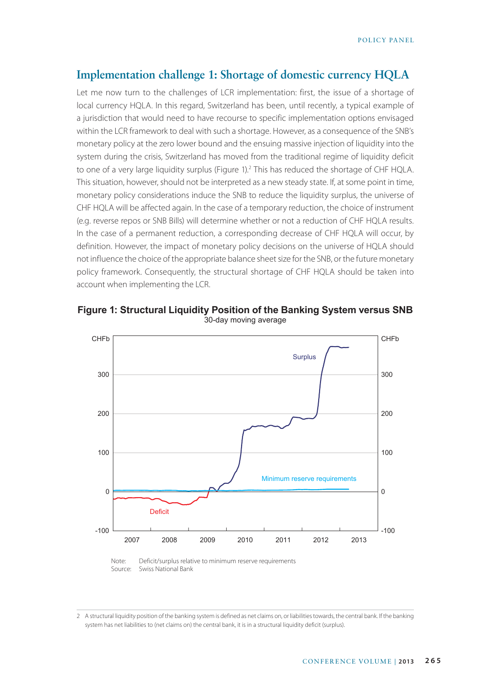#### **Implementation challenge 1: Shortage of domestic currency HQLA**

Let me now turn to the challenges of LCR implementation: first, the issue of a shortage of local currency HQLA. In this regard, Switzerland has been, until recently, a typical example of a jurisdiction that would need to have recourse to specific implementation options envisaged within the LCR framework to deal with such a shortage. However, as a consequence of the SNB's monetary policy at the zero lower bound and the ensuing massive injection of liquidity into the system during the crisis, Switzerland has moved from the traditional regime of liquidity deficit to one of a very large liquidity surplus (Figure 1).<sup>2</sup> This has reduced the shortage of CHF HQLA. This situation, however, should not be interpreted as a new steady state. If, at some point in time, monetary policy considerations induce the SNB to reduce the liquidity surplus, the universe of CHF HQLA will be affected again. In the case of a temporary reduction, the choice of instrument (e.g. reverse repos or SNB Bills) will determine whether or not a reduction of CHF HQLA results. In the case of a permanent reduction, a corresponding decrease of CHF HQLA will occur, by definition. However, the impact of monetary policy decisions on the universe of HQLA should not influence the choice of the appropriate balance sheet size for the SNB, or the future monetary policy framework. Consequently, the structural shortage of CHF HQLA should be taken into account when implementing the LCR.



**Figure 1: Structural Liquidity Position of the Banking System versus SNB** 30-day moving average

Note: Deficit/surplus relative to minimum reserve requirements Source: Swiss National Bank

<sup>2</sup> A structural liquidity position of the banking system is defined as net claims on, or liabilities towards, the central bank. If the banking system has net liabilities to (net claims on) the central bank, it is in a structural liquidity deficit (surplus).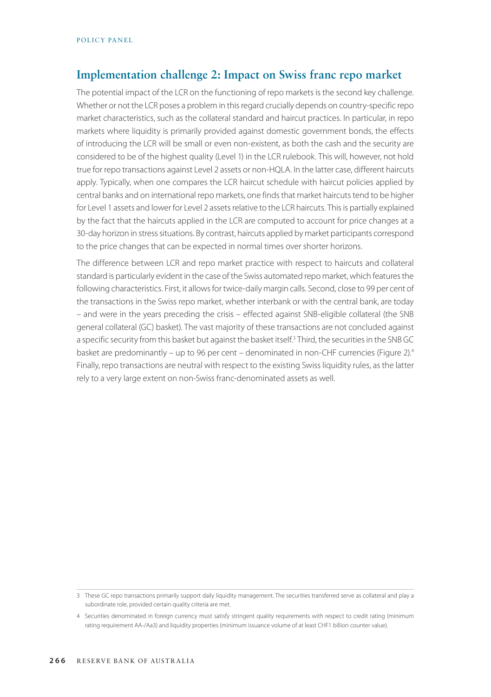### **Implementation challenge 2: Impact on Swiss franc repo market**

The potential impact of the LCR on the functioning of repo markets is the second key challenge. Whether or not the LCR poses a problem in this regard crucially depends on country-specific repo market characteristics, such as the collateral standard and haircut practices. In particular, in repo markets where liquidity is primarily provided against domestic government bonds, the effects of introducing the LCR will be small or even non-existent, as both the cash and the security are considered to be of the highest quality (Level 1) in the LCR rulebook. This will, however, not hold true for repo transactions against Level 2 assets or non-HQLA. In the latter case, different haircuts apply. Typically, when one compares the LCR haircut schedule with haircut policies applied by central banks and on international repo markets, one finds that market haircuts tend to be higher for Level 1 assets and lower for Level 2 assets relative to the LCR haircuts. This is partially explained by the fact that the haircuts applied in the LCR are computed to account for price changes at a 30-day horizon in stress situations. By contrast, haircuts applied by market participants correspond to the price changes that can be expected in normal times over shorter horizons.

The difference between LCR and repo market practice with respect to haircuts and collateral standard is particularly evident in the case of the Swiss automated repo market, which features the following characteristics. First, it allows for twice-daily margin calls. Second, close to 99 per cent of the transactions in the Swiss repo market, whether interbank or with the central bank, are today – and were in the years preceding the crisis – effected against SNB-eligible collateral (the SNB general collateral (GC) basket). The vast majority of these transactions are not concluded against a specific security from this basket but against the basket itself.<sup>3</sup> Third, the securities in the SNB GC basket are predominantly – up to 96 per cent – denominated in non-CHF currencies (Figure 2).<sup>4</sup> Finally, repo transactions are neutral with respect to the existing Swiss liquidity rules, as the latter rely to a very large extent on non-Swiss franc-denominated assets as well.

<sup>3</sup> These GC repo transactions primarily support daily liquidity management. The securities transferred serve as collateral and play a subordinate role, provided certain quality criteria are met.

<sup>4</sup> Securities denominated in foreign currency must satisfy stringent quality requirements with respect to credit rating (minimum rating requirement AA-/Aa3) and liquidity properties (minimum issuance volume of at least CHF1 billion counter value).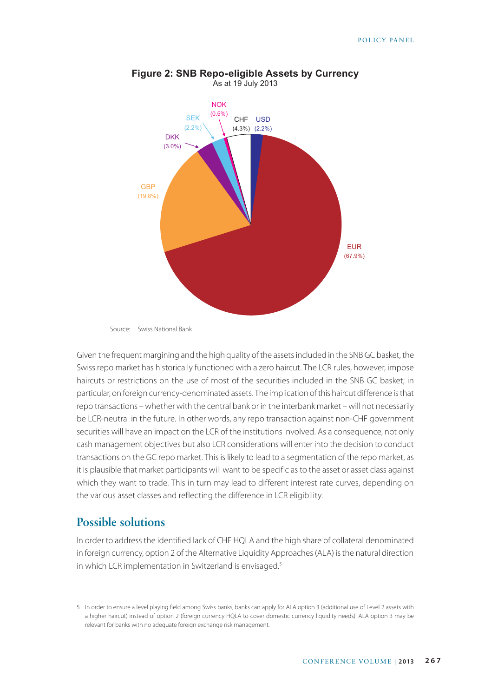

#### **Figure 2: SNB Repo-eligible Assets by Currency** As at 19 July 2013

Given the frequent margining and the high quality of the assets included in the SNB GC basket, the Swiss repo market has historically functioned with a zero haircut. The LCR rules, however, impose haircuts or restrictions on the use of most of the securities included in the SNB GC basket; in particular, on foreign currency-denominated assets. The implication of this haircut difference is that repo transactions – whether with the central bank or in the interbank market – will not necessarily be LCR-neutral in the future. In other words, any repo transaction against non-CHF government securities will have an impact on the LCR of the institutions involved. As a consequence, not only cash management objectives but also LCR considerations will enter into the decision to conduct transactions on the GC repo market. This is likely to lead to a segmentation of the repo market, as it is plausible that market participants will want to be specific as to the asset or asset class against which they want to trade. This in turn may lead to different interest rate curves, depending on the various asset classes and reflecting the difference in LCR eligibility.

### **Possible solutions**

In order to address the identified lack of CHF HQLA and the high share of collateral denominated in foreign currency, option 2 of the Alternative Liquidity Approaches (ALA) is the natural direction in which LCR implementation in Switzerland is envisaged.<sup>5</sup>

Source: Swiss National Bank

<sup>5</sup> In order to ensure a level playing field among Swiss banks, banks can apply for ALA option 3 (additional use of Level 2 assets with a higher haircut) instead of option 2 (foreign currency HQLA to cover domestic currency liquidity needs). ALA option 3 may be relevant for banks with no adequate foreign exchange risk management.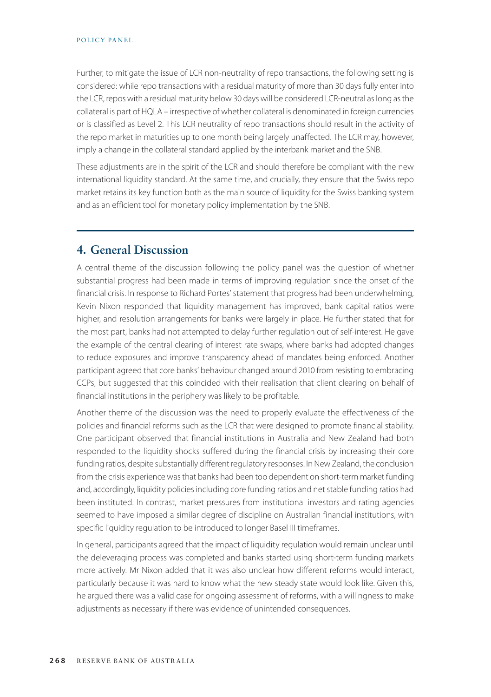Further, to mitigate the issue of LCR non-neutrality of repo transactions, the following setting is considered: while repo transactions with a residual maturity of more than 30 days fully enter into the LCR, repos with a residual maturity below 30 days will be considered LCR-neutral as long as the collateral is part of HQLA – irrespective of whether collateral is denominated in foreign currencies or is classified as Level 2. This LCR neutrality of repo transactions should result in the activity of the repo market in maturities up to one month being largely unaffected. The LCR may, however, imply a change in the collateral standard applied by the interbank market and the SNB.

These adjustments are in the spirit of the LCR and should therefore be compliant with the new international liquidity standard. At the same time, and crucially, they ensure that the Swiss repo market retains its key function both as the main source of liquidity for the Swiss banking system and as an efficient tool for monetary policy implementation by the SNB.

## **4. General Discussion**

A central theme of the discussion following the policy panel was the question of whether substantial progress had been made in terms of improving regulation since the onset of the financial crisis. In response to Richard Portes' statement that progress had been underwhelming, Kevin Nixon responded that liquidity management has improved, bank capital ratios were higher, and resolution arrangements for banks were largely in place. He further stated that for the most part, banks had not attempted to delay further regulation out of self-interest. He gave the example of the central clearing of interest rate swaps, where banks had adopted changes to reduce exposures and improve transparency ahead of mandates being enforced. Another participant agreed that core banks' behaviour changed around 2010 from resisting to embracing CCPs, but suggested that this coincided with their realisation that client clearing on behalf of financial institutions in the periphery was likely to be profitable.

Another theme of the discussion was the need to properly evaluate the effectiveness of the policies and financial reforms such as the LCR that were designed to promote financial stability. One participant observed that financial institutions in Australia and New Zealand had both responded to the liquidity shocks suffered during the financial crisis by increasing their core funding ratios, despite substantially different regulatory responses. In New Zealand, the conclusion from the crisis experience was that banks had been too dependent on short-term market funding and, accordingly, liquidity policies including core funding ratios and net stable funding ratios had been instituted. In contrast, market pressures from institutional investors and rating agencies seemed to have imposed a similar degree of discipline on Australian financial institutions, with specific liquidity regulation to be introduced to longer Basel III timeframes.

In general, participants agreed that the impact of liquidity regulation would remain unclear until the deleveraging process was completed and banks started using short-term funding markets more actively. Mr Nixon added that it was also unclear how different reforms would interact, particularly because it was hard to know what the new steady state would look like. Given this, he argued there was a valid case for ongoing assessment of reforms, with a willingness to make adjustments as necessary if there was evidence of unintended consequences.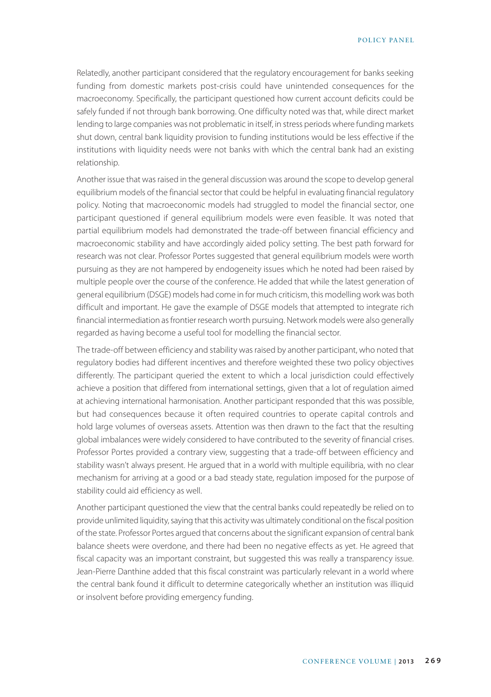Relatedly, another participant considered that the regulatory encouragement for banks seeking funding from domestic markets post-crisis could have unintended consequences for the macroeconomy. Specifically, the participant questioned how current account deficits could be safely funded if not through bank borrowing. One difficulty noted was that, while direct market lending to large companies was not problematic in itself, in stress periods where funding markets shut down, central bank liquidity provision to funding institutions would be less effective if the institutions with liquidity needs were not banks with which the central bank had an existing relationship.

Another issue that was raised in the general discussion was around the scope to develop general equilibrium models of the financial sector that could be helpful in evaluating financial regulatory policy. Noting that macroeconomic models had struggled to model the financial sector, one participant questioned if general equilibrium models were even feasible. It was noted that partial equilibrium models had demonstrated the trade-off between financial efficiency and macroeconomic stability and have accordingly aided policy setting. The best path forward for research was not clear. Professor Portes suggested that general equilibrium models were worth pursuing as they are not hampered by endogeneity issues which he noted had been raised by multiple people over the course of the conference. He added that while the latest generation of general equilibrium (DSGE) models had come in for much criticism, this modelling work was both difficult and important. He gave the example of DSGE models that attempted to integrate rich financial intermediation as frontier research worth pursuing. Network models were also generally regarded as having become a useful tool for modelling the financial sector.

The trade-off between efficiency and stability was raised by another participant, who noted that regulatory bodies had different incentives and therefore weighted these two policy objectives differently. The participant queried the extent to which a local jurisdiction could effectively achieve a position that differed from international settings, given that a lot of regulation aimed at achieving international harmonisation. Another participant responded that this was possible, but had consequences because it often required countries to operate capital controls and hold large volumes of overseas assets. Attention was then drawn to the fact that the resulting global imbalances were widely considered to have contributed to the severity of financial crises. Professor Portes provided a contrary view, suggesting that a trade-off between efficiency and stability wasn't always present. He argued that in a world with multiple equilibria, with no clear mechanism for arriving at a good or a bad steady state, regulation imposed for the purpose of stability could aid efficiency as well.

Another participant questioned the view that the central banks could repeatedly be relied on to provide unlimited liquidity, saying that this activity was ultimately conditional on the fiscal position of the state. Professor Portes argued that concerns about the significant expansion of central bank balance sheets were overdone, and there had been no negative effects as yet. He agreed that fiscal capacity was an important constraint, but suggested this was really a transparency issue. Jean-Pierre Danthine added that this fiscal constraint was particularly relevant in a world where the central bank found it difficult to determine categorically whether an institution was illiquid or insolvent before providing emergency funding.